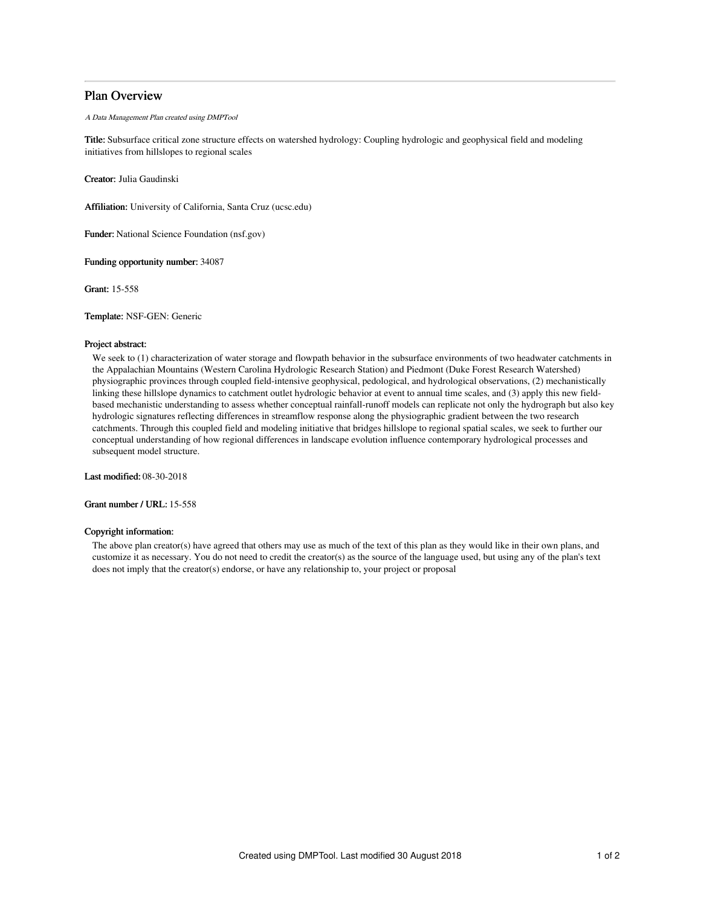## Plan Overview

A Data Management Plan created using DMPTool

Title: Subsurface critical zone structure effects on watershed hydrology: Coupling hydrologic and geophysical field and modeling initiatives from hillslopes to regional scales

Creator: Julia Gaudinski

Affiliation: University of California, Santa Cruz (ucsc.edu)

Funder: National Science Foundation (nsf.gov)

Funding opportunity number: 34087

Grant: 15-558

Template: NSF-GEN: Generic

## Project abstract:

We seek to (1) characterization of water storage and flowpath behavior in the subsurface environments of two headwater catchments in the Appalachian Mountains (Western Carolina Hydrologic Research Station) and Piedmont (Duke Forest Research Watershed) physiographic provinces through coupled field-intensive geophysical, pedological, and hydrological observations, (2) mechanistically linking these hillslope dynamics to catchment outlet hydrologic behavior at event to annual time scales, and (3) apply this new fieldbased mechanistic understanding to assess whether conceptual rainfall-runoff models can replicate not only the hydrograph but also key hydrologic signatures reflecting differences in streamflow response along the physiographic gradient between the two research catchments. Through this coupled field and modeling initiative that bridges hillslope to regional spatial scales, we seek to further our conceptual understanding of how regional differences in landscape evolution influence contemporary hydrological processes and subsequent model structure.

Last modified: 08-30-2018

Grant number / URL: 15-558

## Copyright information:

The above plan creator(s) have agreed that others may use as much of the text of this plan as they would like in their own plans, and customize it as necessary. You do not need to credit the creator(s) as the source of the language used, but using any of the plan's text does not imply that the creator(s) endorse, or have any relationship to, your project or proposal